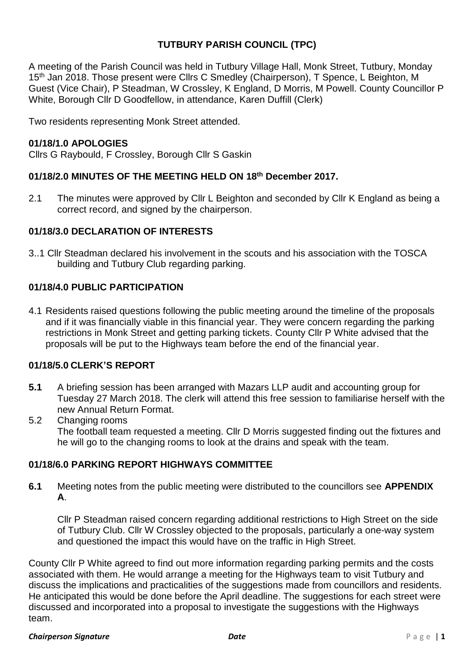## **TUTBURY PARISH COUNCIL (TPC)**

A meeting of the Parish Council was held in Tutbury Village Hall, Monk Street, Tutbury, Monday 15<sup>th</sup> Jan 2018. Those present were Cllrs C Smedley (Chairperson), T Spence, L Beighton, M Guest (Vice Chair), P Steadman, W Crossley, K England, D Morris, M Powell. County Councillor P White, Borough Cllr D Goodfellow, in attendance, Karen Duffill (Clerk)

Two residents representing Monk Street attended.

## **01/18/1.0 APOLOGIES**

Cllrs G Raybould, F Crossley, Borough Cllr S Gaskin

### **01/18/2.0 MINUTES OF THE MEETING HELD ON 18th December 2017.**

2.1 The minutes were approved by Cllr L Beighton and seconded by Cllr K England as being a correct record, and signed by the chairperson.

### **01/18/3.0 DECLARATION OF INTERESTS**

3..1 Cllr Steadman declared his involvement in the scouts and his association with the TOSCA building and Tutbury Club regarding parking.

### **01/18/4.0 PUBLIC PARTICIPATION**

4.1 Residents raised questions following the public meeting around the timeline of the proposals and if it was financially viable in this financial year. They were concern regarding the parking restrictions in Monk Street and getting parking tickets. County Cllr P White advised that the proposals will be put to the Highways team before the end of the financial year.

#### **01/18/5.0 CLERK'S REPORT**

- **5.1** A briefing session has been arranged with Mazars LLP audit and accounting group for Tuesday 27 March 2018. The clerk will attend this free session to familiarise herself with the new Annual Return Format.
- 5.2 Changing rooms The football team requested a meeting. Cllr D Morris suggested finding out the fixtures and he will go to the changing rooms to look at the drains and speak with the team.

#### **01/18/6.0 PARKING REPORT HIGHWAYS COMMITTEE**

**6.1** Meeting notes from the public meeting were distributed to the councillors see **APPENDIX A**.

Cllr P Steadman raised concern regarding additional restrictions to High Street on the side of Tutbury Club. Cllr W Crossley objected to the proposals, particularly a one-way system and questioned the impact this would have on the traffic in High Street.

County Cllr P White agreed to find out more information regarding parking permits and the costs associated with them. He would arrange a meeting for the Highways team to visit Tutbury and discuss the implications and practicalities of the suggestions made from councillors and residents. He anticipated this would be done before the April deadline. The suggestions for each street were discussed and incorporated into a proposal to investigate the suggestions with the Highways team.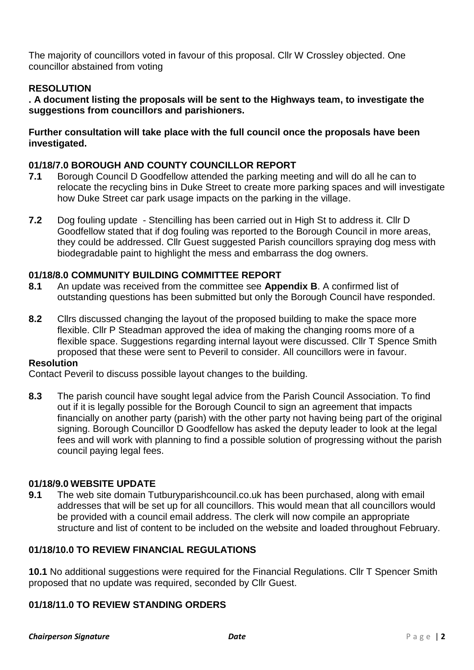The majority of councillors voted in favour of this proposal. Cllr W Crossley objected. One councillor abstained from voting

## **RESOLUTION**

**. A document listing the proposals will be sent to the Highways team, to investigate the suggestions from councillors and parishioners.**

#### **Further consultation will take place with the full council once the proposals have been investigated.**

#### **01/18/7.0 BOROUGH AND COUNTY COUNCILLOR REPORT**

- **7.1** Borough Council D Goodfellow attended the parking meeting and will do all he can to relocate the recycling bins in Duke Street to create more parking spaces and will investigate how Duke Street car park usage impacts on the parking in the village.
- **7.2** Dog fouling update Stencilling has been carried out in High St to address it. Cllr D Goodfellow stated that if dog fouling was reported to the Borough Council in more areas, they could be addressed. Cllr Guest suggested Parish councillors spraying dog mess with biodegradable paint to highlight the mess and embarrass the dog owners.

#### **01/18/8.0 COMMUNITY BUILDING COMMITTEE REPORT**

- **8.1** An update was received from the committee see **Appendix B**. A confirmed list of outstanding questions has been submitted but only the Borough Council have responded.
- **8.2** Cllrs discussed changing the layout of the proposed building to make the space more flexible. Cllr P Steadman approved the idea of making the changing rooms more of a flexible space. Suggestions regarding internal layout were discussed. Cllr T Spence Smith proposed that these were sent to Peveril to consider. All councillors were in favour.

#### **Resolution**

Contact Peveril to discuss possible layout changes to the building.

**8.3** The parish council have sought legal advice from the Parish Council Association. To find out if it is legally possible for the Borough Council to sign an agreement that impacts financially on another party (parish) with the other party not having being part of the original signing. Borough Councillor D Goodfellow has asked the deputy leader to look at the legal fees and will work with planning to find a possible solution of progressing without the parish council paying legal fees.

#### **01/18/9.0 WEBSITE UPDATE**

**9.1** The web site domain Tutburyparishcouncil.co.uk has been purchased, along with email addresses that will be set up for all councillors. This would mean that all councillors would be provided with a council email address. The clerk will now compile an appropriate structure and list of content to be included on the website and loaded throughout February.

#### **01/18/10.0 TO REVIEW FINANCIAL REGULATIONS**

**10.1** No additional suggestions were required for the Financial Regulations. Cllr T Spencer Smith proposed that no update was required, seconded by Cllr Guest.

#### **01/18/11.0 TO REVIEW STANDING ORDERS**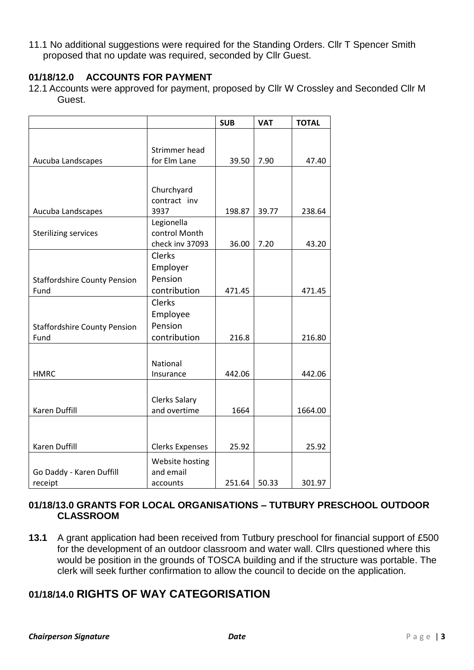11.1 No additional suggestions were required for the Standing Orders. Cllr T Spencer Smith proposed that no update was required, seconded by Cllr Guest.

## **01/18/12.0 ACCOUNTS FOR PAYMENT**

12.1 Accounts were approved for payment, proposed by Cllr W Crossley and Seconded Cllr M Guest.

|                                     |                        | <b>SUB</b> | <b>VAT</b> | <b>TOTAL</b> |
|-------------------------------------|------------------------|------------|------------|--------------|
|                                     |                        |            |            |              |
|                                     | Strimmer head          |            |            |              |
| Aucuba Landscapes                   | for Elm Lane           | 39.50      | 7.90       | 47.40        |
|                                     |                        |            |            |              |
|                                     | Churchyard             |            |            |              |
|                                     | contract inv           |            |            |              |
| Aucuba Landscapes                   | 3937                   | 198.87     | 39.77      | 238.64       |
|                                     | Legionella             |            |            |              |
| <b>Sterilizing services</b>         | control Month          |            |            |              |
|                                     | check inv 37093        | 36.00      | 7.20       | 43.20        |
|                                     | Clerks                 |            |            |              |
|                                     | Employer               |            |            |              |
| <b>Staffordshire County Pension</b> | Pension                |            |            |              |
| Fund                                | contribution           | 471.45     |            | 471.45       |
|                                     | Clerks                 |            |            |              |
|                                     | Employee               |            |            |              |
| <b>Staffordshire County Pension</b> | Pension                |            |            |              |
| Fund                                | contribution           | 216.8      |            | 216.80       |
|                                     |                        |            |            |              |
|                                     | National               |            |            |              |
| <b>HMRC</b>                         | Insurance              | 442.06     |            | 442.06       |
|                                     |                        |            |            |              |
|                                     | <b>Clerks Salary</b>   |            |            |              |
| <b>Karen Duffill</b>                | and overtime           | 1664       |            | 1664.00      |
|                                     |                        |            |            |              |
|                                     |                        |            |            |              |
| Karen Duffill                       | <b>Clerks Expenses</b> | 25.92      |            | 25.92        |
|                                     | Website hosting        |            |            |              |
| Go Daddy - Karen Duffill            | and email              |            |            |              |
| receipt                             | accounts               | 251.64     | 50.33      | 301.97       |

### **01/18/13.0 GRANTS FOR LOCAL ORGANISATIONS – TUTBURY PRESCHOOL OUTDOOR CLASSROOM**

**13.1** A grant application had been received from Tutbury preschool for financial support of £500 for the development of an outdoor classroom and water wall. Cllrs questioned where this would be position in the grounds of TOSCA building and if the structure was portable. The clerk will seek further confirmation to allow the council to decide on the application.

# **01/18/14.0 RIGHTS OF WAY CATEGORISATION**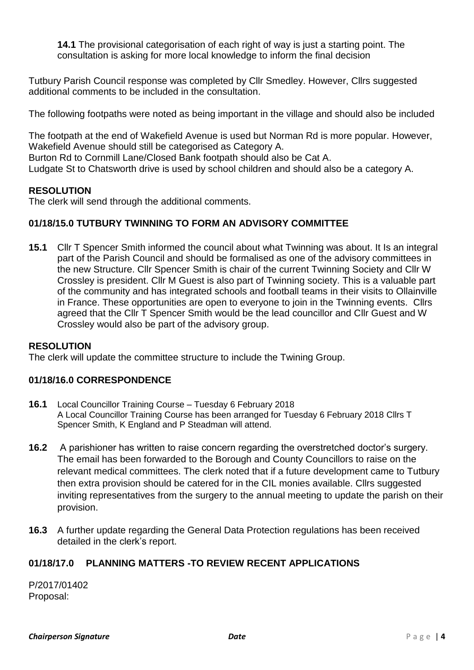**14.1** The provisional categorisation of each right of way is just a starting point. The consultation is asking for more local knowledge to inform the final decision

Tutbury Parish Council response was completed by Cllr Smedley. However, Cllrs suggested additional comments to be included in the consultation.

The following footpaths were noted as being important in the village and should also be included

The footpath at the end of Wakefield Avenue is used but Norman Rd is more popular. However, Wakefield Avenue should still be categorised as Category A. Burton Rd to Cornmill Lane/Closed Bank footpath should also be Cat A. Ludgate St to Chatsworth drive is used by school children and should also be a category A.

## **RESOLUTION**

The clerk will send through the additional comments.

## **01/18/15.0 TUTBURY TWINNING TO FORM AN ADVISORY COMMITTEE**

**15.1** Cllr T Spencer Smith informed the council about what Twinning was about. It Is an integral part of the Parish Council and should be formalised as one of the advisory committees in the new Structure. Cllr Spencer Smith is chair of the current Twinning Society and Cllr W Crossley is president. Cllr M Guest is also part of Twinning society. This is a valuable part of the community and has integrated schools and football teams in their visits to Ollainville in France. These opportunities are open to everyone to join in the Twinning events. Cllrs agreed that the Cllr T Spencer Smith would be the lead councillor and Cllr Guest and W Crossley would also be part of the advisory group.

## **RESOLUTION**

The clerk will update the committee structure to include the Twining Group.

## **01/18/16.0 CORRESPONDENCE**

- **16.1 Local Councillor Training Course – Tuesday 6 February 2018 A Local Councillor Training Course has been arranged for Tuesday 6 February 2018 Cllrs T Spencer Smith, K England and P Steadman will attend.**
- **16.2** A parishioner has written to raise concern regarding the overstretched doctor's surgery. The email has been forwarded to the Borough and County Councillors to raise on the relevant medical committees. The clerk noted that if a future development came to Tutbury then extra provision should be catered for in the CIL monies available. Cllrs suggested inviting representatives from the surgery to the annual meeting to update the parish on their provision.
- **16.3** A further update regarding the General Data Protection regulations has been received detailed in the clerk's report.

## **01/18/17.0 PLANNING MATTERS -TO REVIEW RECENT APPLICATIONS**

P/2017/01402 Proposal: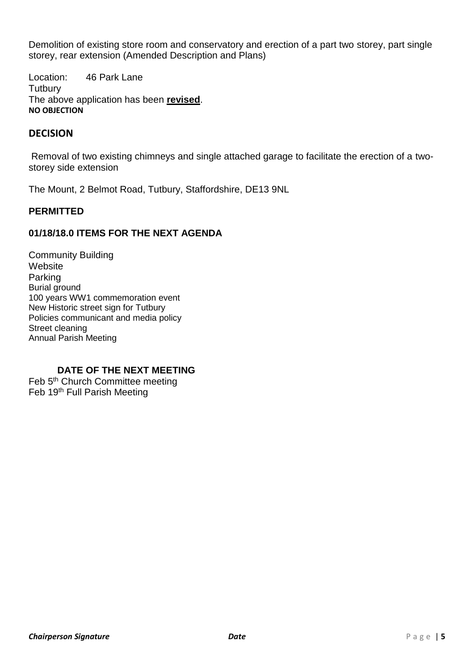Demolition of existing store room and conservatory and erection of a part two storey, part single storey, rear extension (Amended Description and Plans)

Location: 46 Park Lane **Tutbury** The above application has been **revised**. **NO OBJECTION**

## **DECISION**

Removal of two existing chimneys and single attached garage to facilitate the erection of a twostorey side extension

The Mount, 2 Belmot Road, Tutbury, Staffordshire, DE13 9NL

#### **PERMITTED**

### **01/18/18.0 ITEMS FOR THE NEXT AGENDA**

Community Building **Website** Parking Burial ground 100 years WW1 commemoration event New Historic street sign for Tutbury Policies communicant and media policy Street cleaning Annual Parish Meeting

#### **DATE OF THE NEXT MEETING**

Feb 5<sup>th</sup> Church Committee meeting Feb 19th Full Parish Meeting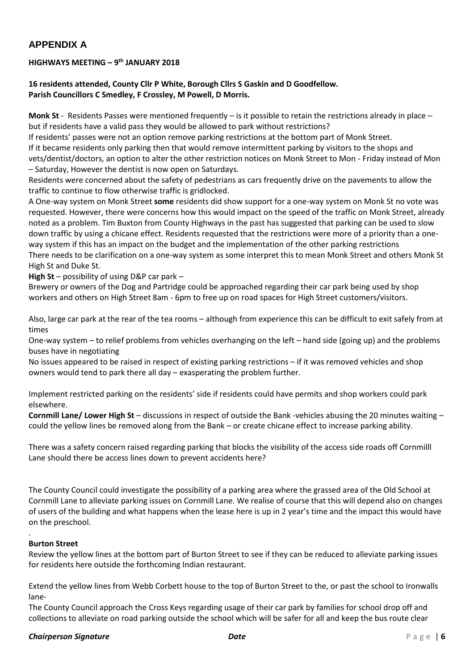## **APPENDIX A**

#### **HIGHWAYS MEETING – 9 th JANUARY 2018**

**16 residents attended, County Cllr P White, Borough Cllrs S Gaskin and D Goodfellow. Parish Councillors C Smedley, F Crossley, M Powell, D Morris.**

**Monk St** - Residents Passes were mentioned frequently – is it possible to retain the restrictions already in place – but if residents have a valid pass they would be allowed to park without restrictions?

If residents' passes were not an option remove parking restrictions at the bottom part of Monk Street. If it became residents only parking then that would remove intermittent parking by visitors to the shops and vets/dentist/doctors, an option to alter the other restriction notices on Monk Street to Mon - Friday instead of Mon – Saturday, However the dentist is now open on Saturdays.

Residents were concerned about the safety of pedestrians as cars frequently drive on the pavements to allow the traffic to continue to flow otherwise traffic is gridlocked.

A One-way system on Monk Street **some** residents did show support for a one-way system on Monk St no vote was requested. However, there were concerns how this would impact on the speed of the traffic on Monk Street, already noted as a problem. Tim Buxton from County Highways in the past has suggested that parking can be used to slow down traffic by using a chicane effect. Residents requested that the restrictions were more of a priority than a oneway system if this has an impact on the budget and the implementation of the other parking restrictions There needs to be clarification on a one-way system as some interpret this to mean Monk Street and others Monk St High St and Duke St.

**High St** – possibility of using D&P car park –

Brewery or owners of the Dog and Partridge could be approached regarding their car park being used by shop workers and others on High Street 8am - 6pm to free up on road spaces for High Street customers/visitors.

Also, large car park at the rear of the tea rooms – although from experience this can be difficult to exit safely from at times

One-way system – to relief problems from vehicles overhanging on the left – hand side (going up) and the problems buses have in negotiating

No issues appeared to be raised in respect of existing parking restrictions – if it was removed vehicles and shop owners would tend to park there all day – exasperating the problem further.

Implement restricted parking on the residents' side if residents could have permits and shop workers could park elsewhere.

**Cornmill Lane/ Lower High St** – discussions in respect of outside the Bank -vehicles abusing the 20 minutes waiting – could the yellow lines be removed along from the Bank – or create chicane effect to increase parking ability.

There was a safety concern raised regarding parking that blocks the visibility of the access side roads off Cornmilll Lane should there be access lines down to prevent accidents here?

The County Council could investigate the possibility of a parking area where the grassed area of the Old School at Cornmill Lane to alleviate parking issues on Cornmill Lane. We realise of course that this will depend also on changes of users of the building and what happens when the lease here is up in 2 year's time and the impact this would have on the preschool.

#### . **Burton Street**

Review the yellow lines at the bottom part of Burton Street to see if they can be reduced to alleviate parking issues for residents here outside the forthcoming Indian restaurant.

Extend the yellow lines from Webb Corbett house to the top of Burton Street to the, or past the school to Ironwalls lane-

The County Council approach the Cross Keys regarding usage of their car park by families for school drop off and collections to alleviate on road parking outside the school which will be safer for all and keep the bus route clear

#### *Chairperson Signature Date* P a g e | **6**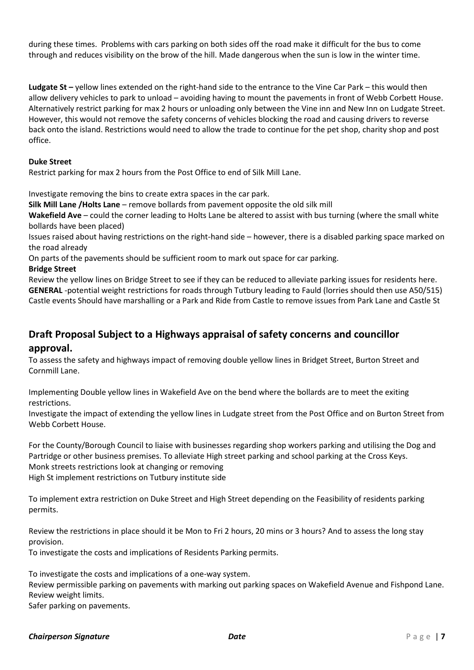during these times. Problems with cars parking on both sides off the road make it difficult for the bus to come through and reduces visibility on the brow of the hill. Made dangerous when the sun is low in the winter time.

**Ludgate St –** yellow lines extended on the right-hand side to the entrance to the Vine Car Park – this would then allow delivery vehicles to park to unload – avoiding having to mount the pavements in front of Webb Corbett House. Alternatively restrict parking for max 2 hours or unloading only between the Vine inn and New Inn on Ludgate Street. However, this would not remove the safety concerns of vehicles blocking the road and causing drivers to reverse back onto the island. Restrictions would need to allow the trade to continue for the pet shop, charity shop and post office.

#### **Duke Street**

Restrict parking for max 2 hours from the Post Office to end of Silk Mill Lane.

Investigate removing the bins to create extra spaces in the car park.

**Silk Mill Lane /Holts Lane** – remove bollards from pavement opposite the old silk mill

**Wakefield Ave** – could the corner leading to Holts Lane be altered to assist with bus turning (where the small white bollards have been placed)

Issues raised about having restrictions on the right-hand side – however, there is a disabled parking space marked on the road already

On parts of the pavements should be sufficient room to mark out space for car parking.

#### **Bridge Street**

Review the yellow lines on Bridge Street to see if they can be reduced to alleviate parking issues for residents here. **GENERAL** -potential weight restrictions for roads through Tutbury leading to Fauld (lorries should then use A50/515) Castle events Should have marshalling or a Park and Ride from Castle to remove issues from Park Lane and Castle St

## **Draft Proposal Subject to a Highways appraisal of safety concerns and councillor approval.**

To assess the safety and highways impact of removing double yellow lines in Bridget Street, Burton Street and Cornmill Lane.

Implementing Double yellow lines in Wakefield Ave on the bend where the bollards are to meet the exiting restrictions.

Investigate the impact of extending the yellow lines in Ludgate street from the Post Office and on Burton Street from Webb Corbett House.

For the County/Borough Council to liaise with businesses regarding shop workers parking and utilising the Dog and Partridge or other business premises. To alleviate High street parking and school parking at the Cross Keys. Monk streets restrictions look at changing or removing High St implement restrictions on Tutbury institute side

To implement extra restriction on Duke Street and High Street depending on the Feasibility of residents parking permits.

Review the restrictions in place should it be Mon to Fri 2 hours, 20 mins or 3 hours? And to assess the long stay provision.

To investigate the costs and implications of Residents Parking permits.

To investigate the costs and implications of a one-way system.

Review permissible parking on pavements with marking out parking spaces on Wakefield Avenue and Fishpond Lane. Review weight limits.

Safer parking on pavements.